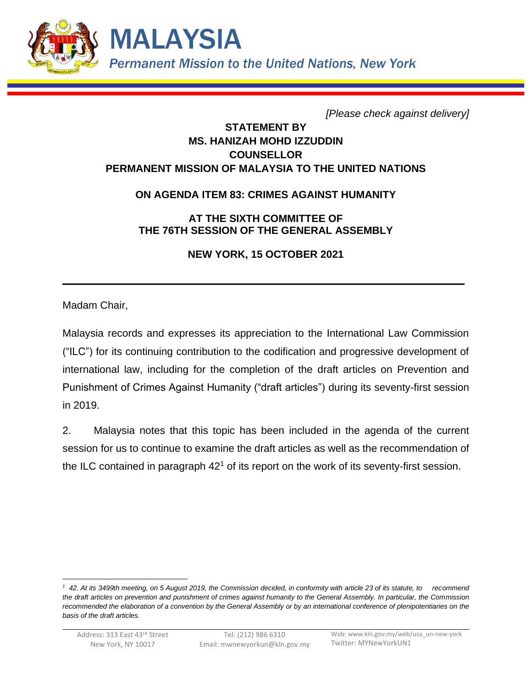

*[Please check against delivery]*

## **STATEMENT BY MS. HANIZAH MOHD IZZUDDIN COUNSELLOR PERMANENT MISSION OF MALAYSIA TO THE UNITED NATIONS**

## **ON AGENDA ITEM 83: CRIMES AGAINST HUMANITY**

**AT THE SIXTH COMMITTEE OF THE 76TH SESSION OF THE GENERAL ASSEMBLY**

**NEW YORK, 15 OCTOBER 2021**

Madam Chair,

Malaysia records and expresses its appreciation to the International Law Commission ("ILC") for its continuing contribution to the codification and progressive development of international law, including for the completion of the draft articles on Prevention and Punishment of Crimes Against Humanity ("draft articles") during its seventy-first session in 2019.

2. Malaysia notes that this topic has been included in the agenda of the current session for us to continue to examine the draft articles as well as the recommendation of the ILC contained in paragraph  $42<sup>1</sup>$  of its report on the work of its seventy-first session.

<sup>&</sup>lt;sup>1</sup> 42. At its 3499th meeting, on 5 August 2019, the Commission decided, in conformity with article 23 of its statute, to recommend *the draft articles on prevention and punishment of crimes against humanity to the General Assembly. In particular, the Commission recommended the elaboration of a convention by the General Assembly or by an international conference of plenipotentiaries on the basis of the draft articles.*